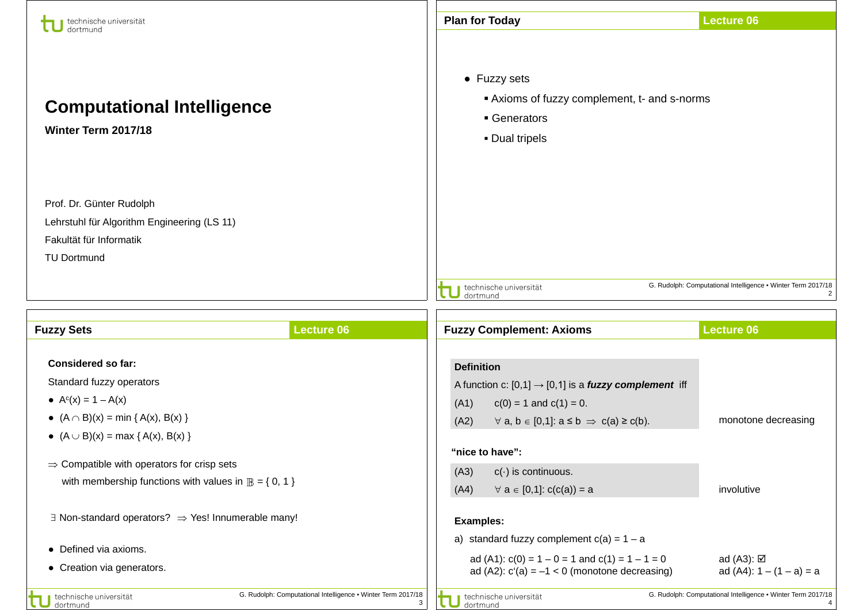| technische universität<br>dortmund                                                                                                                                                                                                                                                                                                                                               |                                                              | <b>Plan for Today</b>                                                                                                                                                                                                                                                                                                                          | <b>Lecture 06</b>                                            |  |
|----------------------------------------------------------------------------------------------------------------------------------------------------------------------------------------------------------------------------------------------------------------------------------------------------------------------------------------------------------------------------------|--------------------------------------------------------------|------------------------------------------------------------------------------------------------------------------------------------------------------------------------------------------------------------------------------------------------------------------------------------------------------------------------------------------------|--------------------------------------------------------------|--|
| <b>Computational Intelligence</b><br>Winter Term 2017/18                                                                                                                                                                                                                                                                                                                         |                                                              | • Fuzzy sets<br>Axioms of fuzzy complement, t- and s-norms<br>Generators<br>• Dual tripels                                                                                                                                                                                                                                                     |                                                              |  |
| Prof. Dr. Günter Rudolph<br>Lehrstuhl für Algorithm Engineering (LS 11)<br>Fakultät für Informatik<br><b>TU Dortmund</b>                                                                                                                                                                                                                                                         |                                                              | technische universität<br>dortmund                                                                                                                                                                                                                                                                                                             | G. Rudolph: Computational Intelligence • Winter Term 2017/18 |  |
|                                                                                                                                                                                                                                                                                                                                                                                  |                                                              |                                                                                                                                                                                                                                                                                                                                                |                                                              |  |
| <b>Fuzzy Sets</b>                                                                                                                                                                                                                                                                                                                                                                | <b>Lecture 06</b>                                            | <b>Fuzzy Complement: Axioms</b>                                                                                                                                                                                                                                                                                                                | <b>Lecture 06</b>                                            |  |
| <b>Considered so far:</b><br>Standard fuzzy operators<br>• $A^{c}(x) = 1 - A(x)$<br>• $(A \cap B)(x) = min \{ A(x), B(x) \}$<br>• $(A \cup B)(x) = max \{ A(x), B(x) \}$<br>$\Rightarrow$ Compatible with operators for crisp sets<br>with membership functions with values in $\mathbb{B} = \{0, 1\}$<br>$\exists$ Non-standard operators? $\Rightarrow$ Yes! Innumerable many! |                                                              | <b>Definition</b><br>A function c: $[0,1] \rightarrow [0,1]$ is a <i>fuzzy complement</i> iff<br>(A1)<br>$c(0) = 1$ and $c(1) = 0$ .<br>(A2)<br>$\forall$ a, b $\in$ [0,1]: $a \le b \Rightarrow c(a) \ge c(b)$ .<br>"nice to have":<br>$c(\cdot)$ is continuous.<br>(A3)<br>(A4)<br>$\forall a \in [0,1]$ : $c(c(a)) = a$<br><b>Examples:</b> | monotone decreasing<br>involutive                            |  |
| • Defined via axioms.<br>• Creation via generators.                                                                                                                                                                                                                                                                                                                              |                                                              | a) standard fuzzy complement $c(a) = 1 - a$<br>ad (A1): $c(0) = 1 - 0 = 1$ and $c(1) = 1 - 1 = 0$<br>ad (A2): $c'(a) = -1 < 0$ (monotone decreasing)                                                                                                                                                                                           | ad (A3): $\boxtimes$<br>ad $(A4)$ : 1 – $(1 - a) = a$        |  |
| technische universität<br><b>Intmund</b>                                                                                                                                                                                                                                                                                                                                         | G. Rudolph: Computational Intelligence . Winter Term 2017/18 | technische universität<br>dortmund                                                                                                                                                                                                                                                                                                             | G. Rudolph: Computational Intelligence . Winter Term 2017/18 |  |

- 1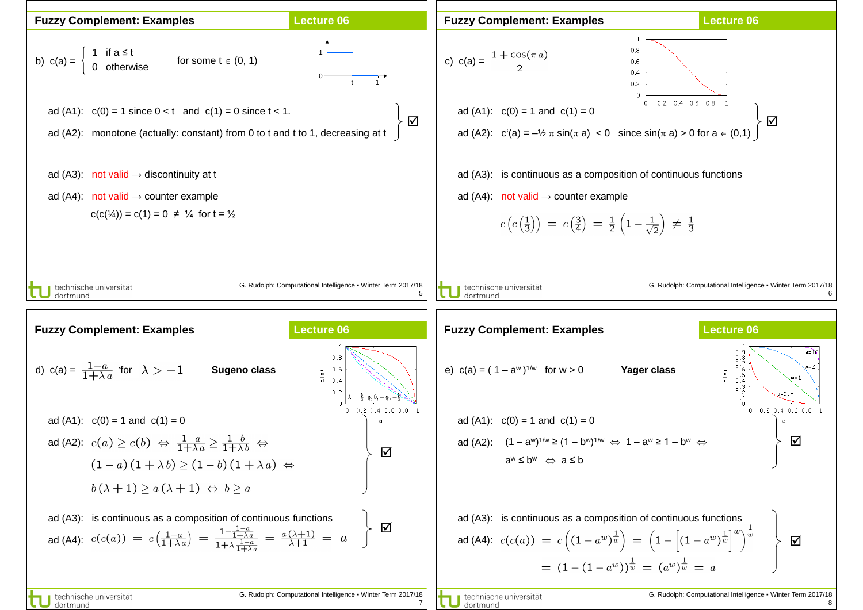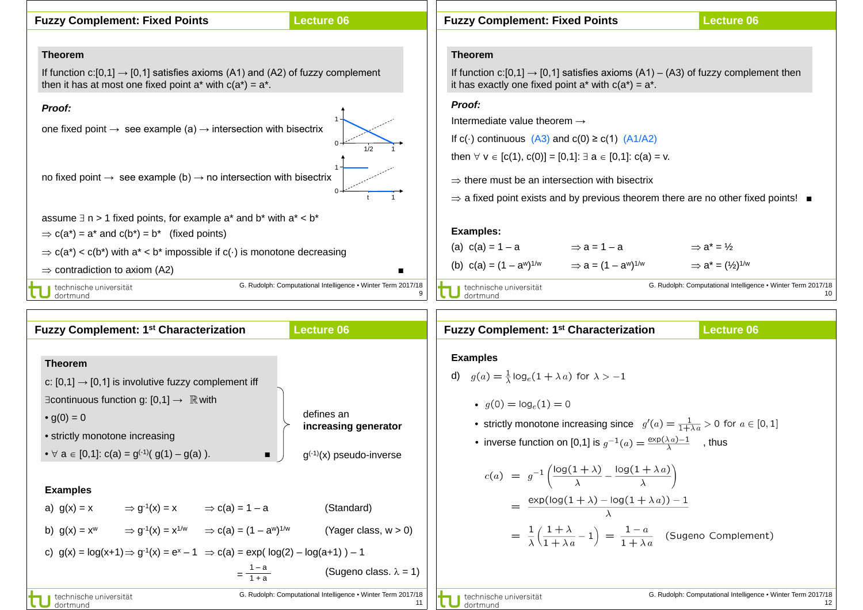

| <b>Fuzzy Complement: 1st Characterization</b>                                                                                                                                                                                                                                                                                                                                                                                                                                                                                                                                                                                         | <b>Lecture 06</b>                                                                                                                             | <b>Lecture 06</b><br><b>Fuzzy Complement: 1st Characterization</b>                                                                                                                                                                                                                                                                                                                                                                                                                                                                                                                                                    |
|---------------------------------------------------------------------------------------------------------------------------------------------------------------------------------------------------------------------------------------------------------------------------------------------------------------------------------------------------------------------------------------------------------------------------------------------------------------------------------------------------------------------------------------------------------------------------------------------------------------------------------------|-----------------------------------------------------------------------------------------------------------------------------------------------|-----------------------------------------------------------------------------------------------------------------------------------------------------------------------------------------------------------------------------------------------------------------------------------------------------------------------------------------------------------------------------------------------------------------------------------------------------------------------------------------------------------------------------------------------------------------------------------------------------------------------|
| <b>Theorem</b><br>c: $[0,1] \rightarrow [0,1]$ is involutive fuzzy complement iff<br>$\exists$ continuous function g: [0,1] $\rightarrow \mathbb{R}$ with<br>• $g(0) = 0$<br>• strictly monotone increasing<br>• $\forall$ a $\in$ [0,1]: c(a) = g <sup>(-1)</sup> (g(1) – g(a)).<br>$\blacksquare$<br><b>Examples</b><br>$\Rightarrow$ g <sup>-1</sup> (x) = x $\Rightarrow$ c(a) = 1 – a<br>a) $g(x) = x$<br>b) $g(x) = x^w$ $\Rightarrow$ $g^{-1}(x) = x^{1/w}$ $\Rightarrow$ $c(a) = (1 - a^w)^{1/w}$<br>c) $g(x) = log(x+1) \Rightarrow g^{-1}(x) = e^x - 1 \Rightarrow c(a) = exp(log(2) - log(a+1)) - 1$<br>$=\frac{1-a}{1+a}$ | defines an<br>increasing generator<br>$g^{(-1)}(x)$ pseudo-inverse<br>(Standard)<br>(Yager class, $w > 0$ )<br>(Sugeno class. $\lambda = 1$ ) | <b>Examples</b><br>d) $g(a) = \frac{1}{\lambda} \log_e(1 + \lambda a)$ for $\lambda > -1$<br>• $q(0) = \log_e(1) = 0$<br>• strictly monotone increasing since $g'(a) = \frac{1}{1 + \lambda a} > 0$ for $a \in [0, 1]$<br>• inverse function on [0,1] is $g^{-1}(a) = \frac{\exp(\lambda a) - 1}{\lambda}$ , thus<br>$c(a) = g^{-1}\left(\frac{\log(1+\lambda)}{\lambda} - \frac{\log(1+\lambda a)}{\lambda}\right)$<br>$= \frac{\exp(\log(1+\lambda)-\log(1+\lambda a))-1}{\lambda}$<br>$= \frac{1}{\lambda} \left( \frac{1 + \lambda}{1 + \lambda a} - 1 \right) = \frac{1 - a}{1 + \lambda a}$ (Sugeno Complement) |
| technische universität<br>dortmund                                                                                                                                                                                                                                                                                                                                                                                                                                                                                                                                                                                                    | G. Rudolph: Computational Intelligence . Winter Term 2017/18                                                                                  | G. Rudolph: Computational Intelligence . Winter Term 2017/18<br>technische universität<br>dortmund                                                                                                                                                                                                                                                                                                                                                                                                                                                                                                                    |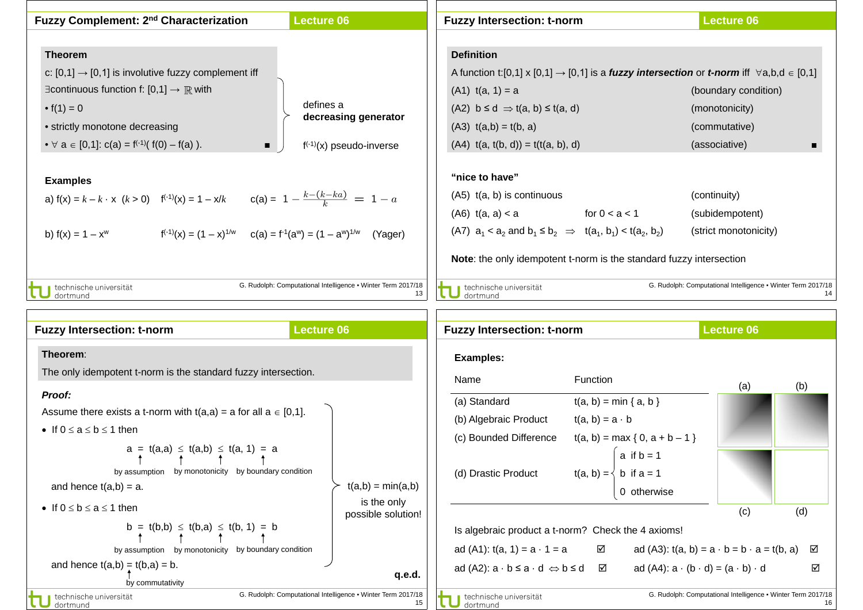| Fuzzy Complement: 2 <sup>nd</sup> Characterization                                                                                                                                                                        | <b>Lecture 06</b>                                                  | <b>Fuzzy Intersection: t-norm</b>                                                                                                                                                                                                     | <b>Lecture 06</b>                                                  |
|---------------------------------------------------------------------------------------------------------------------------------------------------------------------------------------------------------------------------|--------------------------------------------------------------------|---------------------------------------------------------------------------------------------------------------------------------------------------------------------------------------------------------------------------------------|--------------------------------------------------------------------|
| <b>Theorem</b>                                                                                                                                                                                                            |                                                                    | <b>Definition</b>                                                                                                                                                                                                                     |                                                                    |
| c: $[0,1] \rightarrow [0,1]$ is involutive fuzzy complement iff                                                                                                                                                           |                                                                    | A function t:[0,1] x [0,1] $\rightarrow$ [0,1] is a <i>fuzzy intersection</i> or <i>t-norm</i> iff $\forall$ a,b,d $\in$ [0,1]                                                                                                        |                                                                    |
| $\exists$ continuous function f: [0,1] $\rightarrow \mathbb{R}$ with                                                                                                                                                      |                                                                    | $(A1)$ t(a, 1) = a                                                                                                                                                                                                                    | (boundary condition)                                               |
| • $f(1) = 0$                                                                                                                                                                                                              | defines a                                                          | $(A2)$ b $\leq d \Rightarrow t(a, b) \leq t(a, d)$                                                                                                                                                                                    | (monotonicity)                                                     |
| • strictly monotone decreasing                                                                                                                                                                                            | decreasing generator                                               | $(A3)$ $t(a,b) = t(b, a)$                                                                                                                                                                                                             | (commutative)                                                      |
| • $\forall$ a $\in$ [0,1]: c(a) = f <sup>(-1)</sup> ( f(0) - f(a) ).<br>$\blacksquare$                                                                                                                                    | $f^{(-1)}(x)$ pseudo-inverse                                       | $(A4)$ $t(a, t(b, d)) = t(t(a, b), d)$                                                                                                                                                                                                | (associative)                                                      |
| <b>Examples</b><br>a) $f(x) = k - k \cdot x$ $(k > 0)$ $f^{(-1)}(x) = 1 - x/k$ $c(a) = 1 - \frac{k - (k - ka)}{k} = 1 - a$<br>$f^{(-1)}(x) = (1 - x)^{1/w}$ $c(a) = f^{-1}(a^w) = (1 - a^w)^{1/w}$<br>b) $f(x) = 1 - x^w$ | (Yager)                                                            | "nice to have"<br>$(A5)$ t(a, b) is continuous<br>$(AB)$ t(a, a) < a for $0 < a < 1$<br>(A7) $a_1 < a_2$ and $b_1 \leq b_2 \implies t(a_1, b_1) < t(a_2, b_2)$<br>Note: the only idempotent t-norm is the standard fuzzy intersection | (continuity)<br>(subidempotent)<br>(strict monotonicity)           |
| technische universität<br>dortmund                                                                                                                                                                                        | G. Rudolph: Computational Intelligence • Winter Term 2017/18<br>13 | technische universität<br>dortmund                                                                                                                                                                                                    | G. Rudolph: Computational Intelligence . Winter Term 2017/18<br>14 |
|                                                                                                                                                                                                                           |                                                                    |                                                                                                                                                                                                                                       |                                                                    |

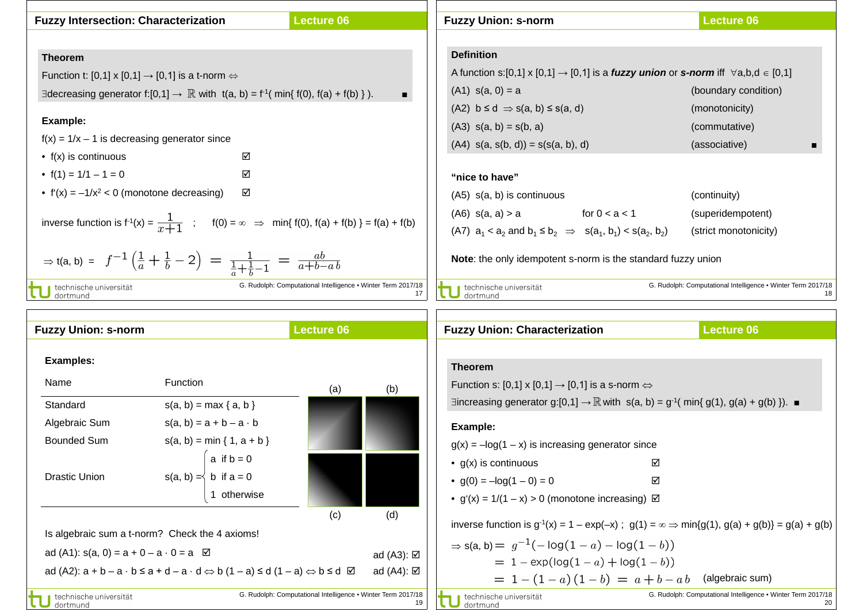| <b>Fuzzy Intersection: Characterization</b>                                                                                       | <b>Lecture 06</b>                                                  | <b>Fuzzy Union: s-norm</b>                                            | <b>Lecture 06</b>                                                                                                       |
|-----------------------------------------------------------------------------------------------------------------------------------|--------------------------------------------------------------------|-----------------------------------------------------------------------|-------------------------------------------------------------------------------------------------------------------------|
|                                                                                                                                   |                                                                    |                                                                       |                                                                                                                         |
| <b>Theorem</b>                                                                                                                    |                                                                    | <b>Definition</b>                                                     |                                                                                                                         |
| Function t: [0,1] x [0,1] $\rightarrow$ [0,1] is a t-norm $\Leftrightarrow$                                                       |                                                                    |                                                                       | A function s:[0,1] x [0,1] $\rightarrow$ [0,1] is a <i>fuzzy union</i> or <i>s-norm</i> iff $\forall$ a,b,d $\in$ [0,1] |
| Exercising generator f: [0,1] $\rightarrow \mathbb{R}$ with t(a, b) = f <sup>-1</sup> (min{f(0), f(a) + f(b) }).                  |                                                                    | $(A1)$ s(a, 0) = a                                                    | (boundary condition)                                                                                                    |
|                                                                                                                                   |                                                                    | $(A2)$ $b \le d \Rightarrow s(a, b) \le s(a, d)$                      | (monotonicity)                                                                                                          |
| Example:                                                                                                                          |                                                                    | $(A3)$ s(a, b) = s(b, a)                                              | (commutative)                                                                                                           |
| $f(x) = 1/x - 1$ is decreasing generator since                                                                                    |                                                                    | $(A4)$ s(a, s(b, d)) = s(s(a, b), d)                                  | (associative)                                                                                                           |
| $\bullet$ f(x) is continuous<br>☑                                                                                                 |                                                                    |                                                                       |                                                                                                                         |
| • $f(1) = 1/1 - 1 = 0$<br>☑                                                                                                       |                                                                    | "nice to have"                                                        |                                                                                                                         |
| ☑<br>• $f'(x) = -1/x^2 < 0$ (monotone decreasing)                                                                                 |                                                                    | $(A5)$ s(a, b) is continuous                                          | (continuity)                                                                                                            |
|                                                                                                                                   |                                                                    | $(AB)$ s(a, a) > a for $0 < a < 1$                                    | (superidempotent)                                                                                                       |
| inverse function is $f'(x) = \frac{1}{x+1}$ ; $f(0) = \infty \implies \min\{f(0), f(a) + f(b)\} = f(a) + f(b)$                    |                                                                    | (A7) $a_1 < a_2$ and $b_1 \le b_2 \implies s(a_1, b_1) < s(a_2, b_2)$ | (strict monotonicity)                                                                                                   |
| $\Rightarrow$ t(a, b) = $f^{-1}(\frac{1}{a} + \frac{1}{b} - 2) = \frac{1}{\frac{1}{a} + \frac{1}{b} - 1} = \frac{ab}{a + b - ab}$ |                                                                    | Note: the only idempotent s-norm is the standard fuzzy union          |                                                                                                                         |
| technische universität<br>dortmund                                                                                                | G. Rudolph: Computational Intelligence . Winter Term 2017/18<br>17 | technische universität<br>dortmund                                    | G. Rudolph: Computational Intelligence . Winter Term 2017/18<br>18                                                      |
| Frances Halen a mar                                                                                                               | $\mathbf{1}$ and $\mathbf{1}$ and $\mathbf{2}$                     | Fuentellaten : Okeneatenbetten                                        | $\mathbf{1}$ and $\mathbf{1}$ and $\mathbf{2}$                                                                          |

|                      | <b>Fuzzy Union: s-norm</b>                            |                                                                                                                         | <b>Lecture 06</b>                                            |                         |
|----------------------|-------------------------------------------------------|-------------------------------------------------------------------------------------------------------------------------|--------------------------------------------------------------|-------------------------|
| <b>Examples:</b>     |                                                       |                                                                                                                         |                                                              |                         |
| Name                 |                                                       | <b>Function</b>                                                                                                         | (a)                                                          | (b)                     |
| Standard             |                                                       | $s(a, b) = max {a, b}$                                                                                                  |                                                              |                         |
|                      | Algebraic Sum                                         | $s(a, b) = a + b - a \cdot b$                                                                                           |                                                              |                         |
|                      | <b>Bounded Sum</b>                                    | $s(a, b) = min \{ 1, a + b \}$                                                                                          |                                                              |                         |
|                      |                                                       | $a$ if $b = 0$                                                                                                          |                                                              |                         |
| <b>Drastic Union</b> |                                                       | $s(a, b) = \begin{cases} b & \text{if } a = 0 \end{cases}$                                                              |                                                              |                         |
|                      |                                                       | 1 otherwise                                                                                                             |                                                              |                         |
|                      |                                                       |                                                                                                                         | (c)                                                          | (d)                     |
|                      |                                                       | Is algebraic sum a t-norm? Check the 4 axioms!                                                                          |                                                              |                         |
|                      | ad (A1): $s(a, 0) = a + 0 - a \cdot 0 = a \ \ \n\Box$ |                                                                                                                         |                                                              | ad $(A3)$ : $\boxtimes$ |
|                      |                                                       | ad (A2): $a + b - a \cdot b \le a + d - a \cdot d \Leftrightarrow b (1 - a) \le d (1 - a) \Leftrightarrow b \le d \Box$ |                                                              | ad $(A4)$ : $\boxtimes$ |
|                      | technische universität                                |                                                                                                                         | G. Rudolph: Computational Intelligence . Winter Term 2017/18 |                         |
| dortmund             |                                                       |                                                                                                                         |                                                              | 19                      |

- Г

| <b>Fuzzy Union: Characterization</b>                                                                                 | <b>Lecture 06</b>                                                  |  |  |  |
|----------------------------------------------------------------------------------------------------------------------|--------------------------------------------------------------------|--|--|--|
|                                                                                                                      |                                                                    |  |  |  |
| <b>Theorem</b>                                                                                                       |                                                                    |  |  |  |
| Function s: [0,1] x [0,1] $\rightarrow$ [0,1] is a s-norm $\Leftrightarrow$                                          |                                                                    |  |  |  |
| ∃increasing generator g:[0,1] $\rightarrow \mathbb{R}$ with s(a, b) = g <sup>-1</sup> (min{ g(1), g(a) + g(b) }). ■  |                                                                    |  |  |  |
| Example:                                                                                                             |                                                                    |  |  |  |
| $g(x) = -\log(1 - x)$ is increasing generator since                                                                  |                                                                    |  |  |  |
| • $g(x)$ is continuous                                                                                               | ☑                                                                  |  |  |  |
| • $q(0) = -\log(1 - 0) = 0$                                                                                          | ☑                                                                  |  |  |  |
| • $g'(x) = 1/(1 - x) > 0$ (monotone increasing) $\boxtimes$                                                          |                                                                    |  |  |  |
| inverse function is $g^{-1}(x) = 1 - \exp(-x)$ ; $g(1) = \infty \Rightarrow \min\{g(1), g(a) + g(b)\} = g(a) + g(b)$ |                                                                    |  |  |  |
| $\Rightarrow$ s(a, b) = $g^{-1}(-\log(1-a) - \log(1-b))$                                                             |                                                                    |  |  |  |
| $= 1 - \exp(\log(1 - a) + \log(1 - b))$                                                                              |                                                                    |  |  |  |
| $= 1 - (1 - a)(1 - b) = a + b - ab$ (algebraic sum)                                                                  |                                                                    |  |  |  |
| technische universität<br>dortmund                                                                                   | G. Rudolph: Computational Intelligence • Winter Term 2017/18<br>20 |  |  |  |